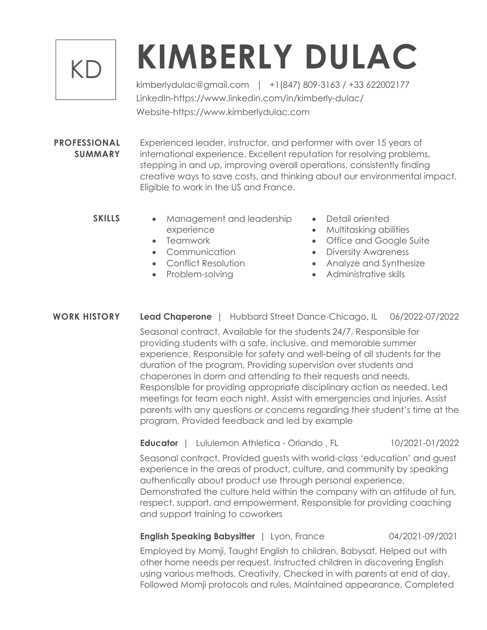## KD

# **KIMBERLY DULAC**

kimberlydulac@gmail.com | +1(847) 809-3163 / +33 622002177 LinkedIn-https://www.linkedin.com/in/kimberly-dulac/ Website-https://www.kimberlydulac.com

**PROFESSIONAL SUMMARY** Experienced leader, instructor, and performer with over 15 years of international experience. Excellent reputation for resolving problems, stepping in and up, improving overall operations, consistently finding creative ways to save costs, and thinking about our environmental impact. Eligible to work in the US and France.

- **SKILLS** Management and leadership experience
	- Teamwork
	- Communication
	- Conflict Resolution
	- Problem-solving
- Detail oriented
- Multitasking abilities
- Office and Google Suite
- Diversity Awareness
- Analyze and Synthesize
- Administrative skills

## **WORK HISTORY Lead Chaperone** | Hubbard Street Dance-Chicago, IL 06/2022-07/2022

Seasonal contract, Available for the students 24/7, Responsible for providing students with a safe, inclusive, and memorable summer experience, Responsible for safety and well-being of all students for the duration of the program, Providing supervision over students and chaperones in dorm and attending to their requests and needs, Responsible for providing appropriate disciplinary action as needed, Led meetings for team each night, Assist with emergencies and injuries, Assist parents with any questions or concerns regarding their student's time at the program, Provided feedback and led by example

**Educator** | Lululemon Athletica - Orlando , FL 10/2021-01/2022

Seasonal contract, Provided guests with world-class 'education' and guest experience in the areas of product, culture, and community by speaking authentically about product use through personal experience, Demonstrated the culture held within the company with an attitude of fun, respect, support, and empowerment, Responsible for providing coaching and support training to coworkers

#### **English Speaking Babysitter** | Lyon, France 04/2021-09/2021

Employed by Momji, Taught English to children, Babysat, Helped out with other home needs per request, Instructed children in discovering English using various methods, Creativity, Checked in with parents at end of day, Followed Momji protocols and rules, Maintained appearance, Completed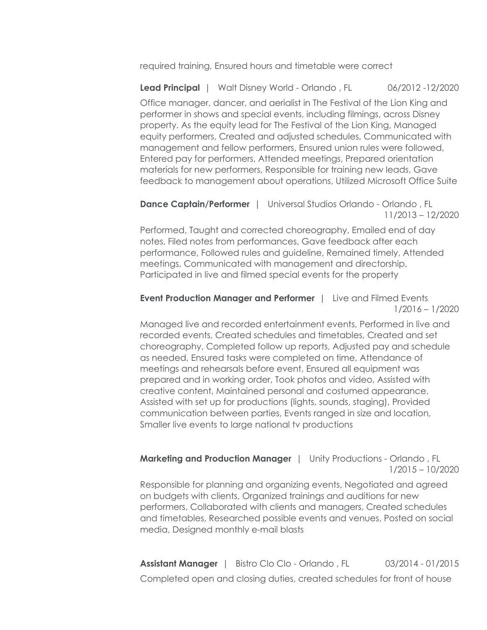required training, Ensured hours and timetable were correct

**Lead Principal** | Walt Disney World - Orlando, FL 06/2012 -12/2020

Office manager, dancer, and aerialist in The Festival of the Lion King and performer in shows and special events, including filmings, across Disney property. As the equity lead for The Festival of the Lion King, Managed equity performers, Created and adjusted schedules, Communicated with management and fellow performers, Ensured union rules were followed, Entered pay for performers, Attended meetings, Prepared orientation materials for new performers, Responsible for training new leads, Gave feedback to management about operations, Utilized Microsoft Office Suite

**Dance Captain/Performer** | Universal Studios Orlando - Orlando, FL 11/2013 – 12/2020

Performed, Taught and corrected choreography, Emailed end of day notes, Filed notes from performances, Gave feedback after each performance, Followed rules and guideline, Remained timely, Attended meetings, Communicated with management and directorship, Participated in live and filmed special events for the property

#### **Event Production Manager and Performer** | Live and Filmed Events 1/2016 – 1/2020

Managed live and recorded entertainment events, Performed in live and recorded events, Created schedules and timetables, Created and set choreography, Completed follow up reports, Adjusted pay and schedule as needed, Ensured tasks were completed on time, Attendance of meetings and rehearsals before event, Ensured all equipment was prepared and in working order, Took photos and video, Assisted with creative content, Maintained personal and costumed appearance, Assisted with set up for productions (lights, sounds, staging), Provided communication between parties, Events ranged in size and location, Smaller live events to large national tv productions

#### **Marketing and Production Manager** | Unity Productions - Orlando , FL 1/2015 – 10/2020

Responsible for planning and organizing events, Negotiated and agreed on budgets with clients, Organized trainings and auditions for new performers, Collaborated with clients and managers, Created schedules and timetables, Researched possible events and venues, Posted on social media, Designed monthly e-mail blasts

**Assistant Manager** | Bistro Clo Clo - Orlando, FL 03/2014 - 01/2015 Completed open and closing duties, created schedules for front of house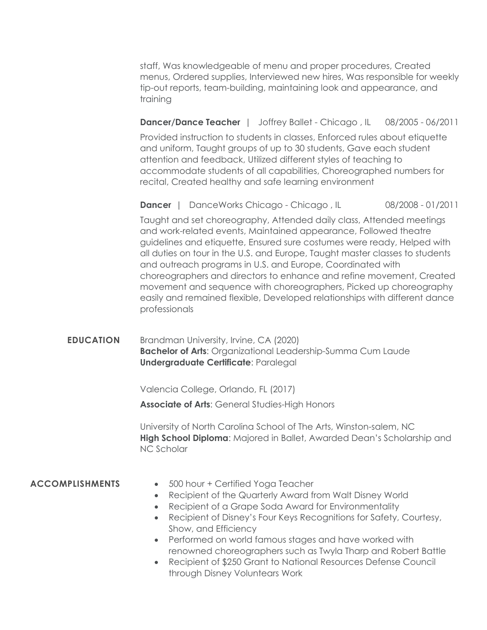staff, Was knowledgeable of menu and proper procedures, Created menus, Ordered supplies, Interviewed new hires, Was responsible for weekly tip-out reports, team-building, maintaining look and appearance, and training

#### **Dancer/Dance Teacher** | Joffrey Ballet - Chicago, IL 08/2005 - 06/2011

Provided instruction to students in classes, Enforced rules about etiquette and uniform, Taught groups of up to 30 students, Gave each student attention and feedback, Utilized different styles of teaching to accommodate students of all capabilities, Choreographed numbers for recital, Created healthy and safe learning environment

**Dancer** | DanceWorks Chicago - Chicago, IL 08/2008 - 01/2011

Taught and set choreography, Attended daily class, Attended meetings and work-related events, Maintained appearance, Followed theatre guidelines and etiquette, Ensured sure costumes were ready, Helped with all duties on tour in the U.S. and Europe, Taught master classes to students and outreach programs in U.S. and Europe, Coordinated with choreographers and directors to enhance and refine movement, Created movement and sequence with choreographers, Picked up choreography easily and remained flexible, Developed relationships with different dance professionals

### **EDUCATION** Brandman University, Irvine, CA (2020) **Bachelor of Arts**: Organizational Leadership-Summa Cum Laude **Undergraduate Certificate**: Paralegal

Valencia College, Orlando, FL (2017)

**Associate of Arts**: General Studies-High Honors

University of North Carolina School of The Arts, Winston-salem, NC **High School Diploma**: Majored in Ballet, Awarded Dean's Scholarship and NC Scholar

- **ACCOMPLISHMENTS** 500 hour + Certified Yoga Teacher
	- Recipient of the Quarterly Award from Walt Disney World
	- Recipient of a Grape Soda Award for Environmentality
	- Recipient of Disney's Four Keys Recognitions for Safety, Courtesy, Show, and Efficiency
	- Performed on world famous stages and have worked with renowned choreographers such as Twyla Tharp and Robert Battle
	- Recipient of \$250 Grant to National Resources Defense Council through Disney Voluntears Work